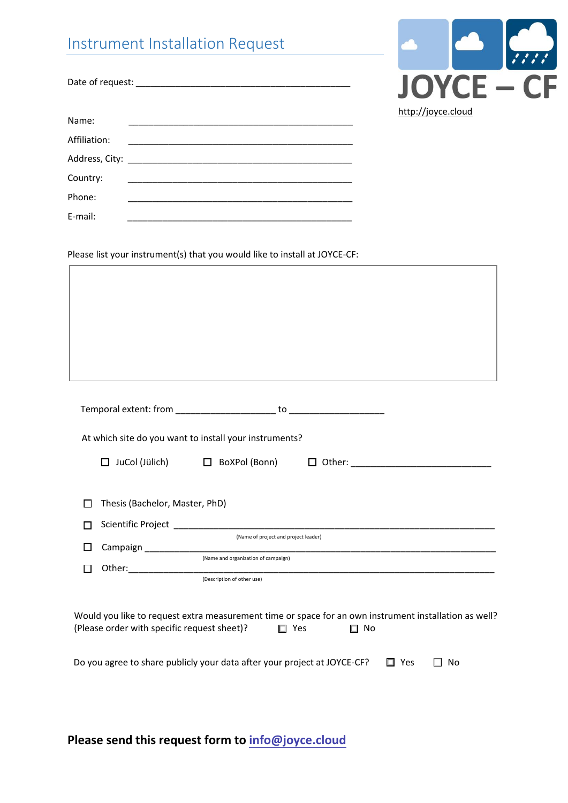|                                     | Instrument Installation Request                                                                                        |                    |
|-------------------------------------|------------------------------------------------------------------------------------------------------------------------|--------------------|
|                                     |                                                                                                                        | <b>JOYCE - CF</b>  |
| Name:<br>Affiliation:<br>Country:   | <u> 1989 - Johann John Stone, market fan it ferskearre fan it ferskearre fan it ferskearre fan it ferskearre fan i</u> | http://joyce.cloud |
| Phone:<br>E-mail:                   | <u> 1989 - Johann Stein, markin film ar yn y brenin y brenin y brenin y brenin y brenin y brenin y brenin y breni</u>  |                    |
|                                     | Please list your instrument(s) that you would like to install at JOYCE-CF:                                             |                    |
|                                     |                                                                                                                        |                    |
|                                     |                                                                                                                        |                    |
|                                     |                                                                                                                        |                    |
|                                     |                                                                                                                        |                    |
|                                     |                                                                                                                        |                    |
|                                     |                                                                                                                        |                    |
|                                     | At which site do you want to install your instruments?                                                                 |                    |
| $\Box$ JuCol (Jülich)               | $\Box$ BoXPol (Bonn)                                                                                                   |                    |
| Thesis (Bachelor, Master, PhD)<br>П |                                                                                                                        |                    |
| П<br>$\Box$                         | (Name of project and project leader)                                                                                   |                    |

**Please send this request form to [info@joyce.cloud](mailto:info@joyce.cloud)**